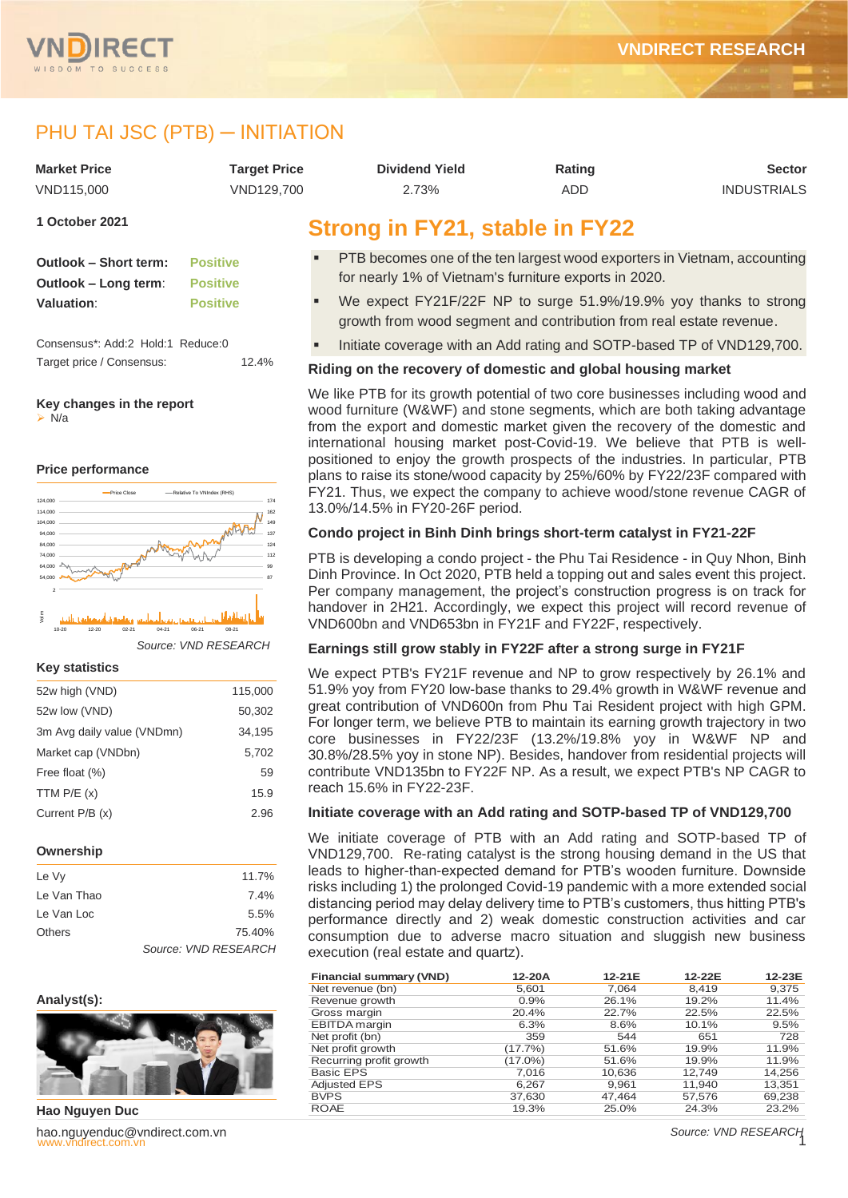

# PHU TAI JSC (PTB) - INITIATION

| <b>Market Price</b> | <b>Target Price</b> | <b>Dividend Yield</b>                                 | Rating | <b>Sector</b>      |
|---------------------|---------------------|-------------------------------------------------------|--------|--------------------|
| VND115.000          | VND129.700          | 2.73%                                                 | ADD    | <b>INDUSTRIALS</b> |
| 1 October 2021      |                     | Strong in EV <sub>21</sub> stable in EV <sub>22</sub> |        |                    |

# **Outlook – Short term: Positive Outlook – Long term**: **Positive Valuation**: **Positive**

Consensus\*: Add:2 Hold:1 Reduce:0 Target price / Consensus: 12.4%

# **Key changes in the report**

➢ N/a

#### **Price performance**



*Source: VND RESEARCH*

#### **Key statistics**

| 52w high (VND)             | 115,000 |
|----------------------------|---------|
| 52w low (VND)              | 50,302  |
| 3m Avg daily value (VNDmn) | 34,195  |
| Market cap (VNDbn)         | 5,702   |
| Free float (%)             | 59      |
| TTM $P/E(x)$               | 15.9    |
| Current $P/B(x)$           | 2.96    |
|                            |         |

#### **Ownership**

| Le Vy         | 11.7%                |
|---------------|----------------------|
| Le Van Thao   | 7.4%                 |
| Le Van Loc    | 5.5%                 |
| <b>Others</b> | 75.40%               |
|               | Source: VND RESEARCH |

# **Analyst(s):**



nect. We have with the choice with the control of the control of the control of the control of the control of the control of the control of the control of the control of the control of the control of the control of the con **Hao Nguyen Duc** hao.nguyenduc@vndirect.com.vn

# **Strong in FY21, stable in FY22**

- **PTB becomes one of the ten largest wood exporters in Vietnam, accounting** for nearly 1% of Vietnam's furniture exports in 2020.
- We expect FY21F/22F NP to surge 51.9%/19.9% yoy thanks to strong growth from wood segment and contribution from real estate revenue.
- Initiate coverage with an Add rating and SOTP-based TP of VND129,700.

# **Riding on the recovery of domestic and global housing market**

We like PTB for its growth potential of two core businesses including wood and wood furniture (W&WF) and stone segments, which are both taking advantage from the export and domestic market given the recovery of the domestic and international housing market post-Covid-19. We believe that PTB is wellpositioned to enjoy the growth prospects of the industries. In particular, PTB plans to raise its stone/wood capacity by 25%/60% by FY22/23F compared with FY21. Thus, we expect the company to achieve wood/stone revenue CAGR of 13.0%/14.5% in FY20-26F period.

# **Condo project in Binh Dinh brings short-term catalyst in FY21-22F**

PTB is developing a condo project - the Phu Tai Residence - in Quy Nhon, Binh Dinh Province. In Oct 2020, PTB held a topping out and sales event this project. Per company management, the project's construction progress is on track for handover in 2H21. Accordingly, we expect this project will record revenue of VND600bn and VND653bn in FY21F and FY22F, respectively.

#### **Earnings still grow stably in FY22F after a strong surge in FY21F**

We expect PTB's FY21F revenue and NP to grow respectively by 26.1% and 51.9% yoy from FY20 low-base thanks to 29.4% growth in W&WF revenue and great contribution of VND600n from Phu Tai Resident project with high GPM. For longer term, we believe PTB to maintain its earning growth trajectory in two core businesses in FY22/23F (13.2%/19.8% yoy in W&WF NP and 30.8%/28.5% yoy in stone NP). Besides, handover from residential projects will contribute VND135bn to FY22F NP. As a result, we expect PTB's NP CAGR to reach 15.6% in FY22-23F.

#### **Initiate coverage with an Add rating and SOTP-based TP of VND129,700**

We initiate coverage of PTB with an Add rating and SOTP-based TP of VND129,700. Re-rating catalyst is the strong housing demand in the US that leads to higher-than-expected demand for PTB's wooden furniture. Downside risks including 1) the prolonged Covid-19 pandemic with a more extended social distancing period may delay delivery time to PTB's customers, thus hitting PTB's performance directly and 2) weak domestic construction activities and car consumption due to adverse macro situation and sluggish new business execution (real estate and quartz).

| <b>Financial summary (VND)</b> | 12-20A     | 12-21E | 12-22E | 12-23E |
|--------------------------------|------------|--------|--------|--------|
| Net revenue (bn)               | 5,601      | 7.064  | 8.419  | 9,375  |
| Revenue growth                 | 0.9%       | 26.1%  | 19.2%  | 11.4%  |
| Gross margin                   | 20.4%      | 22.7%  | 22.5%  | 22.5%  |
| <b>EBITDA</b> margin           | 6.3%       | 8.6%   | 10.1%  | 9.5%   |
| Net profit (bn)                | 359        | 544    | 651    | 728    |
| Net profit growth              | (17.7%)    | 51.6%  | 19.9%  | 11.9%  |
| Recurring profit growth        | $(17.0\%)$ | 51.6%  | 19.9%  | 11.9%  |
| Basic EPS                      | 7,016      | 10,636 | 12,749 | 14,256 |
| <b>Adjusted EPS</b>            | 6,267      | 9,961  | 11,940 | 13,351 |
| <b>BVPS</b>                    | 37,630     | 47.464 | 57,576 | 69,238 |
| <b>ROAE</b>                    | 19.3%      | 25.0%  | 24.3%  | 23.2%  |

*Source: VND RESEARCH*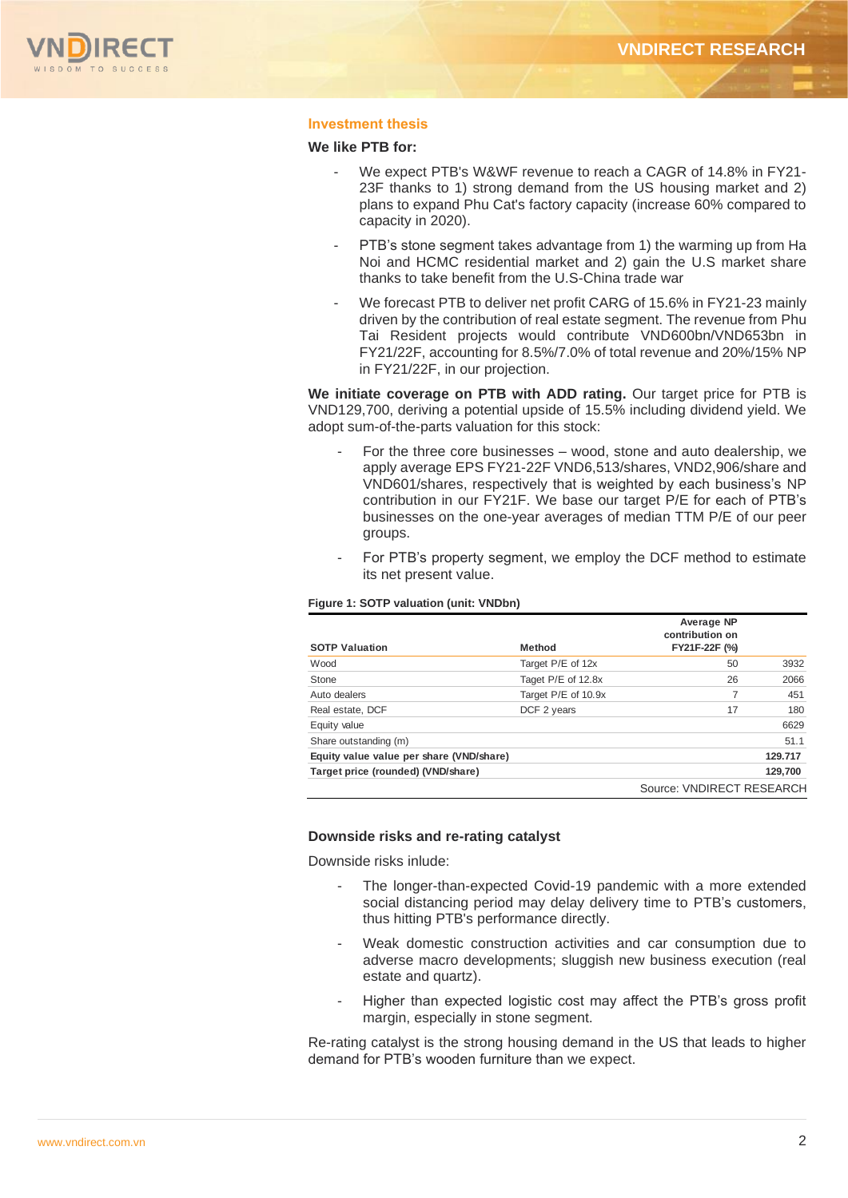

### **Investment thesis**

#### **We like PTB for:**

- We expect PTB's W&WF revenue to reach a CAGR of 14.8% in FY21- 23F thanks to 1) strong demand from the US housing market and 2) plans to expand Phu Cat's factory capacity (increase 60% compared to capacity in 2020).
- PTB's stone segment takes advantage from 1) the warming up from Ha Noi and HCMC residential market and 2) gain the U.S market share thanks to take benefit from the U.S-China trade war
- We forecast PTB to deliver net profit CARG of 15.6% in FY21-23 mainly driven by the contribution of real estate segment. The revenue from Phu Tai Resident projects would contribute VND600bn/VND653bn in FY21/22F, accounting for 8.5%/7.0% of total revenue and 20%/15% NP in FY21/22F, in our projection.

**We initiate coverage on PTB with ADD rating.** Our target price for PTB is VND129,700, deriving a potential upside of 15.5% including dividend yield. We adopt sum-of-the-parts valuation for this stock:

- For the three core businesses wood, stone and auto dealership, we apply average EPS FY21-22F VND6,513/shares, VND2,906/share and VND601/shares, respectively that is weighted by each business's NP contribution in our FY21F. We base our target P/E for each of PTB's businesses on the one-year averages of median TTM P/E of our peer groups.
- For PTB's property segment, we employ the DCF method to estimate its net present value.

#### **Figure 1: SOTP valuation (unit: VNDbn)**

|                                          |                     | Average NP<br>contribution on |         |
|------------------------------------------|---------------------|-------------------------------|---------|
| <b>SOTP Valuation</b>                    | <b>Method</b>       | FY21F-22F (%)                 |         |
| Wood                                     | Target P/E of 12x   | 50                            | 3932    |
| Stone                                    | Taget P/E of 12.8x  | 26                            | 2066    |
| Auto dealers                             | Target P/E of 10.9x | 7                             | 451     |
| Real estate, DCF                         | DCF 2 years         | 17                            | 180     |
| Equity value                             |                     |                               | 6629    |
| Share outstanding (m)                    |                     |                               | 51.1    |
| Equity value value per share (VND/share) |                     |                               | 129.717 |
| Target price (rounded) (VND/share)       |                     |                               | 129,700 |
|                                          |                     | Source: VNDIRECT RESEARCH     |         |

#### **Downside risks and re-rating catalyst**

Downside risks inlude:

- The longer-than-expected Covid-19 pandemic with a more extended social distancing period may delay delivery time to PTB's customers, thus hitting PTB's performance directly.
- Weak domestic construction activities and car consumption due to adverse macro developments; sluggish new business execution (real estate and quartz).
- Higher than expected logistic cost may affect the PTB's gross profit margin, especially in stone segment.

Re-rating catalyst is the strong housing demand in the US that leads to higher demand for PTB's wooden furniture than we expect.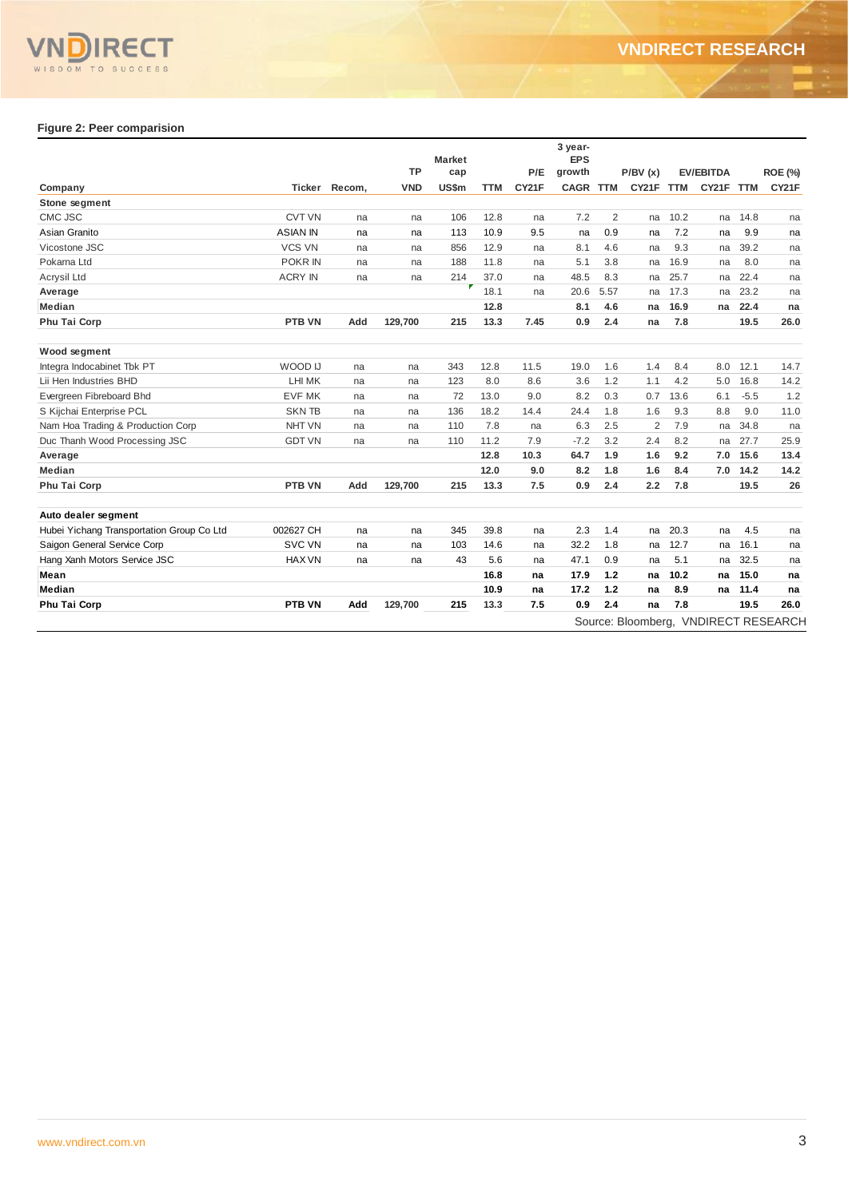

# **Figure 2: Peer comparision**

|                                           |                 |        |            | <b>Market</b> |      |       | 3 year-<br><b>EPS</b> |            |                |            |                  |            |                                      |
|-------------------------------------------|-----------------|--------|------------|---------------|------|-------|-----------------------|------------|----------------|------------|------------------|------------|--------------------------------------|
|                                           |                 |        | <b>TP</b>  | cap           |      | P/E   | growth                |            | P/BV(x)        |            | <b>EV/EBITDA</b> |            | <b>ROE (%)</b>                       |
| Company                                   | Ticker          | Recom, | <b>VND</b> | US\$m         | TTM  | CY21F | <b>CAGR</b>           | <b>TTM</b> | CY21F          | <b>TTM</b> | CY21F            | <b>TTM</b> | CY21F                                |
| Stone segment                             |                 |        |            |               |      |       |                       |            |                |            |                  |            |                                      |
| CMC JSC                                   | <b>CVT VN</b>   | na     | na         | 106           | 12.8 | na    | 7.2                   | 2          | na             | 10.2       | na               | 14.8       | na                                   |
| Asian Granito                             | <b>ASIAN IN</b> | na     | na         | 113           | 10.9 | 9.5   | na                    | 0.9        | na             | 7.2        | na               | 9.9        | na                                   |
| Vicostone JSC                             | <b>VCS VN</b>   | na     | na         | 856           | 12.9 | na    | 8.1                   | 4.6        | na             | 9.3        | na               | 39.2       | na                                   |
| Pokarna Ltd                               | POKR IN         | na     | na         | 188           | 11.8 | na    | 5.1                   | 3.8        | na             | 16.9       | na               | 8.0        | na                                   |
| Acrysil Ltd                               | <b>ACRY IN</b>  | na     | na         | 214           | 37.0 | na    | 48.5                  | 8.3        | na             | 25.7       | na               | 22.4       | na                                   |
| Average                                   |                 |        |            | F             | 18.1 | na    | 20.6                  | 5.57       | na             | 17.3       | na               | 23.2       | na                                   |
| <b>Median</b>                             |                 |        |            |               | 12.8 |       | 8.1                   | 4.6        | na             | 16.9       | na               | 22.4       | na                                   |
| Phu Tai Corp                              | PTB VN          | Add    | 129.700    | 215           | 13.3 | 7.45  | 0.9                   | 2.4        | na             | 7.8        |                  | 19.5       | 26.0                                 |
| Wood segment                              |                 |        |            |               |      |       |                       |            |                |            |                  |            |                                      |
| Integra Indocabinet Tbk PT                | WOOD IJ         | na     | na         | 343           | 12.8 | 11.5  | 19.0                  | 1.6        | 1.4            | 8.4        | 8.0              | 12.1       | 14.7                                 |
| Lii Hen Industries BHD                    | LHI MK          | na     | na         | 123           | 8.0  | 8.6   | 3.6                   | 1.2        | 1.1            | 4.2        | 5.0              | 16.8       | 14.2                                 |
| Evergreen Fibreboard Bhd                  | <b>EVF MK</b>   | na     | na         | 72            | 13.0 | 9.0   | 8.2                   | 0.3        | 0.7            | 13.6       | 6.1              | $-5.5$     | 1.2                                  |
| S Kijchai Enterprise PCL                  | <b>SKNTB</b>    | na     | na         | 136           | 18.2 | 14.4  | 24.4                  | 1.8        | 1.6            | 9.3        | 8.8              | 9.0        | 11.0                                 |
| Nam Hoa Trading & Production Corp         | NHT VN          | na     | na         | 110           | 7.8  | na    | 6.3                   | 2.5        | $\overline{2}$ | 7.9        | na               | 34.8       | na                                   |
| Duc Thanh Wood Processing JSC             | <b>GDT VN</b>   | na     | na         | 110           | 11.2 | 7.9   | $-7.2$                | 3.2        | 2.4            | 8.2        | na               | 27.7       | 25.9                                 |
| Average                                   |                 |        |            |               | 12.8 | 10.3  | 64.7                  | 1.9        | 1.6            | 9.2        | 7.0              | 15.6       | 13.4                                 |
| <b>Median</b>                             |                 |        |            |               | 12.0 | 9.0   | 8.2                   | 1.8        | 1.6            | 8.4        | 7.0              | 14.2       | 14.2                                 |
| Phu Tai Corp                              | PTB VN          | Add    | 129.700    | 215           | 13.3 | 7.5   | 0.9                   | 2.4        | 2.2            | 7.8        |                  | 19.5       | 26                                   |
| Auto dealer segment                       |                 |        |            |               |      |       |                       |            |                |            |                  |            |                                      |
| Hubei Yichang Transportation Group Co Ltd | 002627 CH       | na     | na         | 345           | 39.8 | na    | 2.3                   | 1.4        | na             | 20.3       | na               | 4.5        | na                                   |
| Saigon General Service Corp               | <b>SVC VN</b>   | na     | na         | 103           | 14.6 | na    | 32.2                  | 1.8        | na             | 12.7       | na               | 16.1       | na                                   |
| Hang Xanh Motors Service JSC              | <b>HAX VN</b>   | na     | na         | 43            | 5.6  | na    | 47.1                  | 0.9        | na             | 5.1        | na               | 32.5       | na                                   |
| Mean                                      |                 |        |            |               | 16.8 | na    | 17.9                  | $1.2$      | na             | 10.2       | na               | 15.0       | na                                   |
| Median                                    |                 |        |            |               | 10.9 | na    | 17.2                  | 1.2        | na             | 8.9        | na               | 11.4       | na                                   |
| Phu Tai Corp                              | <b>PTB VN</b>   | Add    | 129,700    | 215           | 13.3 | 7.5   | 0.9                   | 2.4        | na             | 7.8        |                  | 19.5       | 26.0                                 |
|                                           |                 |        |            |               |      |       |                       |            |                |            |                  |            | Source: Bloomberg, VNDIRECT RESEARCH |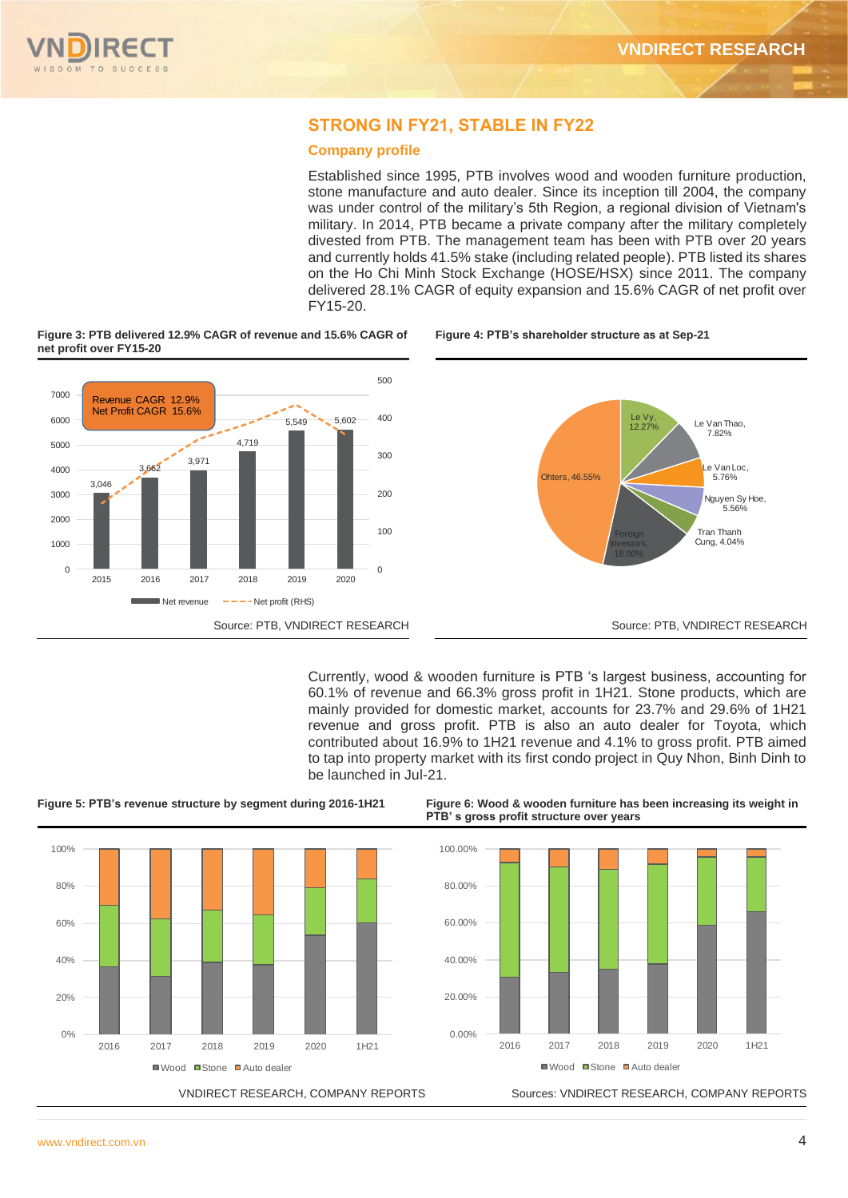# **STRONG IN FY21, STABLE IN FY22**

### **Company profile**

Established since 1995, PTB involves wood and wooden furniture production, stone manufacture and auto dealer. Since its inception till 2004, the company was under control of the military's 5th Region, a regional division of Vietnam's military. In 2014, PTB became a private company after the military completely divested from PTB. The management team has been with PTB over 20 years and currently holds 41.5% stake (including related people). PTB listed its shares on the Ho Chi Minh Stock Exchange (HOSE/HSX) since 2011. The company delivered 28.1% CAGR of equity expansion and 15.6% CAGR of net profit over FY15-20.



**Figure 3: PTB delivered 12.9% CAGR of revenue and 15.6% CAGR of** 

Currently, wood & wooden furniture is PTB 's largest business, accounting for 60.1% of revenue and 66.3% gross profit in 1H21. Stone products, which are mainly provided for domestic market, accounts for 23.7% and 29.6% of 1H21 revenue and gross profit. PTB is also an auto dealer for Toyota, which contributed about 16.9% to 1H21 revenue and 4.1% to gross profit. PTB aimed to tap into property market with its first condo project in Quy Nhon, Binh Dinh to be launched in Jul-21.





**Figure 5: PTB's revenue structure by segment during 2016-1H21 Figure 6: Wood & wooden furniture has been increasing its weight in PTB' s gross profit structure over years**



VNDIRECT RESEARCH, COMPANY REPORTS Sources: VNDIRECT RESEARCH, COMPANY REPORTS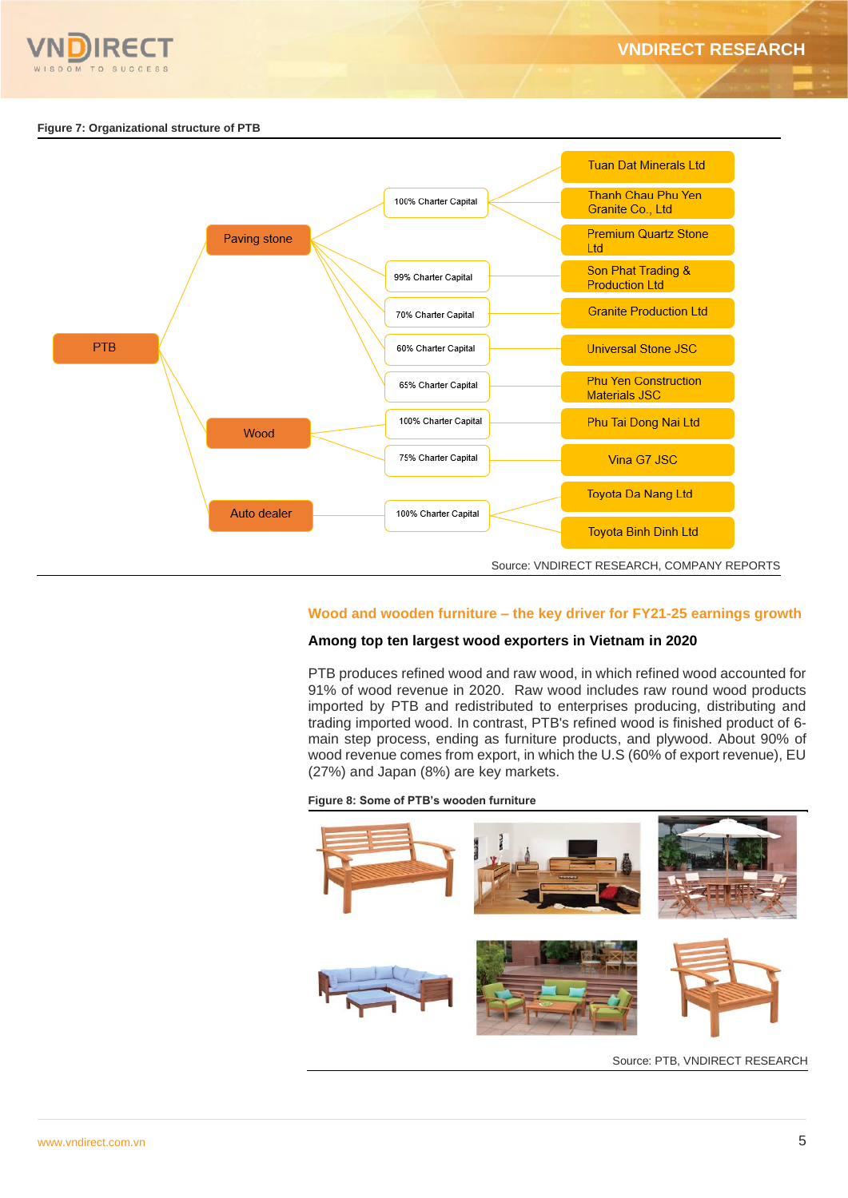

#### **Figure 7: Organizational structure of PTB**



#### **Wood and wooden furniture – the key driver for FY21-25 earnings growth**

#### **Among top ten largest wood exporters in Vietnam in 2020**

PTB produces refined wood and raw wood, in which refined wood accounted for 91% of wood revenue in 2020. Raw wood includes raw round wood products imported by PTB and redistributed to enterprises producing, distributing and trading imported wood. In contrast, PTB's refined wood is finished product of 6 main step process, ending as furniture products, and plywood. About 90% of wood revenue comes from export, in which the U.S (60% of export revenue), EU (27%) and Japan (8%) are key markets.

### **Figure 8: Some of PTB's wooden furniture**



Source: PTB, VNDIRECT RESEARCH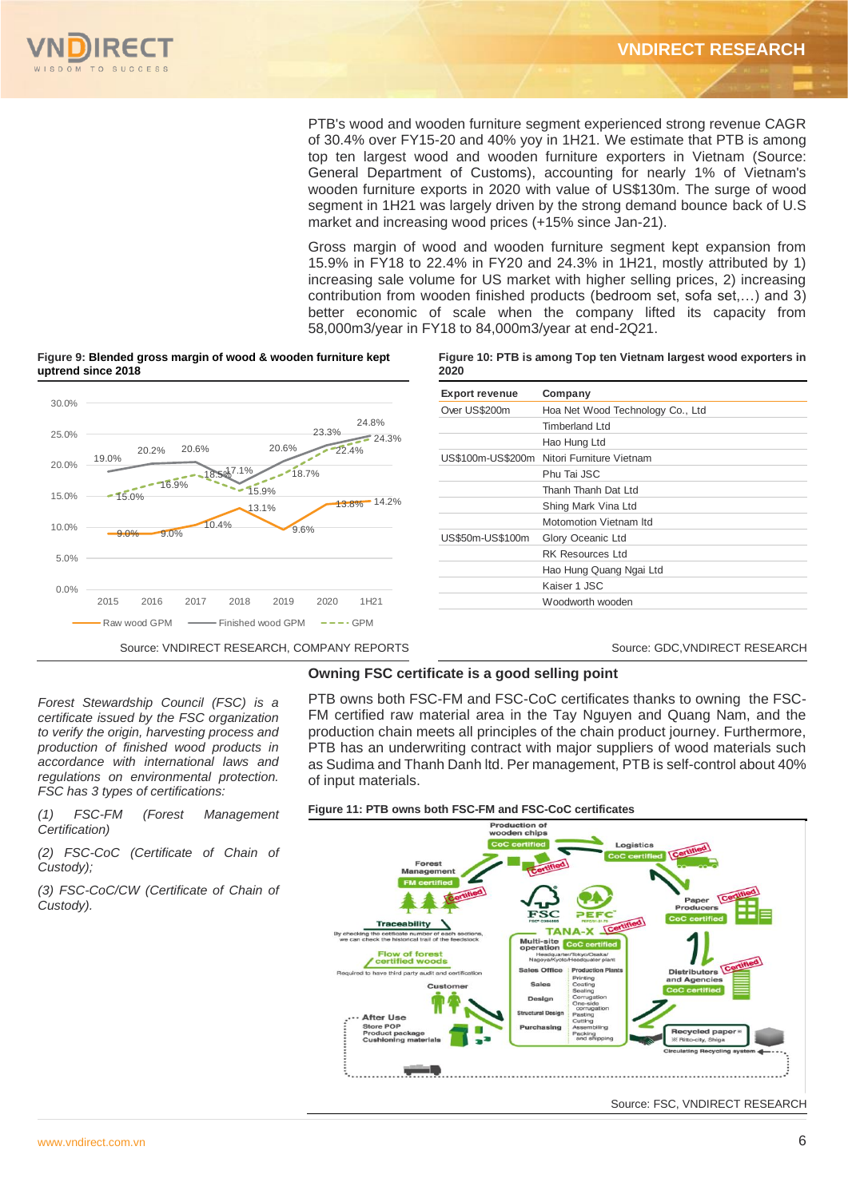PTB's wood and wooden furniture segment experienced strong revenue CAGR of 30.4% over FY15-20 and 40% yoy in 1H21. We estimate that PTB is among top ten largest wood and wooden furniture exporters in Vietnam (Source: General Department of Customs), accounting for nearly 1% of Vietnam's wooden furniture exports in 2020 with value of US\$130m. The surge of wood segment in 1H21 was largely driven by the strong demand bounce back of U.S market and increasing wood prices (+15% since Jan-21).

Gross margin of wood and wooden furniture segment kept expansion from 15.9% in FY18 to 22.4% in FY20 and 24.3% in 1H21, mostly attributed by 1) increasing sale volume for US market with higher selling prices, 2) increasing contribution from wooden finished products (bedroom set, sofa set,…) and 3) better economic of scale when the company lifted its capacity from 58,000m3/year in FY18 to 84,000m3/year at end-2Q21.



# **Figure 9: Blended gross margin of wood & wooden furniture kept**

**Figure 10: PTB is among Top ten Vietnam largest wood exporters in 2020**

| <b>Export revenue</b> | Company                                    |
|-----------------------|--------------------------------------------|
| Over US\$200m         | Hoa Net Wood Technology Co., Ltd           |
|                       | <b>Timberland Ltd</b>                      |
|                       | Hao Hung Ltd                               |
|                       | US\$100m-US\$200m Nitori Furniture Vietnam |
|                       | Phu Tai JSC                                |
|                       | Thanh Thanh Dat Ltd                        |
|                       | Shing Mark Vina Ltd                        |
|                       | Motomotion Vietnam Itd                     |
| US\$50m-US\$100m      | Glory Oceanic Ltd                          |
|                       | <b>RK Resources Ltd</b>                    |
|                       | Hao Hung Quang Ngai Ltd                    |
|                       | Kaiser 1 JSC                               |
|                       | Woodworth wooden                           |

Source: VNDIRECT RESEARCH, COMPANY REPORTS Source: GDC, VNDIRECT RESEARCH

# **Owning FSC certificate is a good selling point**

of input materials. *Forest Stewardship Council (FSC) is a certificate issued by the FSC organization to verify the origin, harvesting process and production of finished wood products in accordance with international laws and regulations on environmental protection. FSC has 3 types of certifications:* 

*(1) FSC-FM (Forest Management Certification)* 

*(2) FSC-CoC (Certificate of Chain of Custody);* 

*(3) FSC-CoC/CW (Certificate of Chain of Custody).*

PTB owns both FSC-FM and FSC-CoC certificates thanks to owning the FSC-FM certified raw material area in the Tay Nguyen and Quang Nam, and the production chain meets all principles of the chain product journey. Furthermore, PTB has an underwriting contract with major suppliers of wood materials such as Sudima and Thanh Danh ltd. Per management, PTB is self-control about 40%



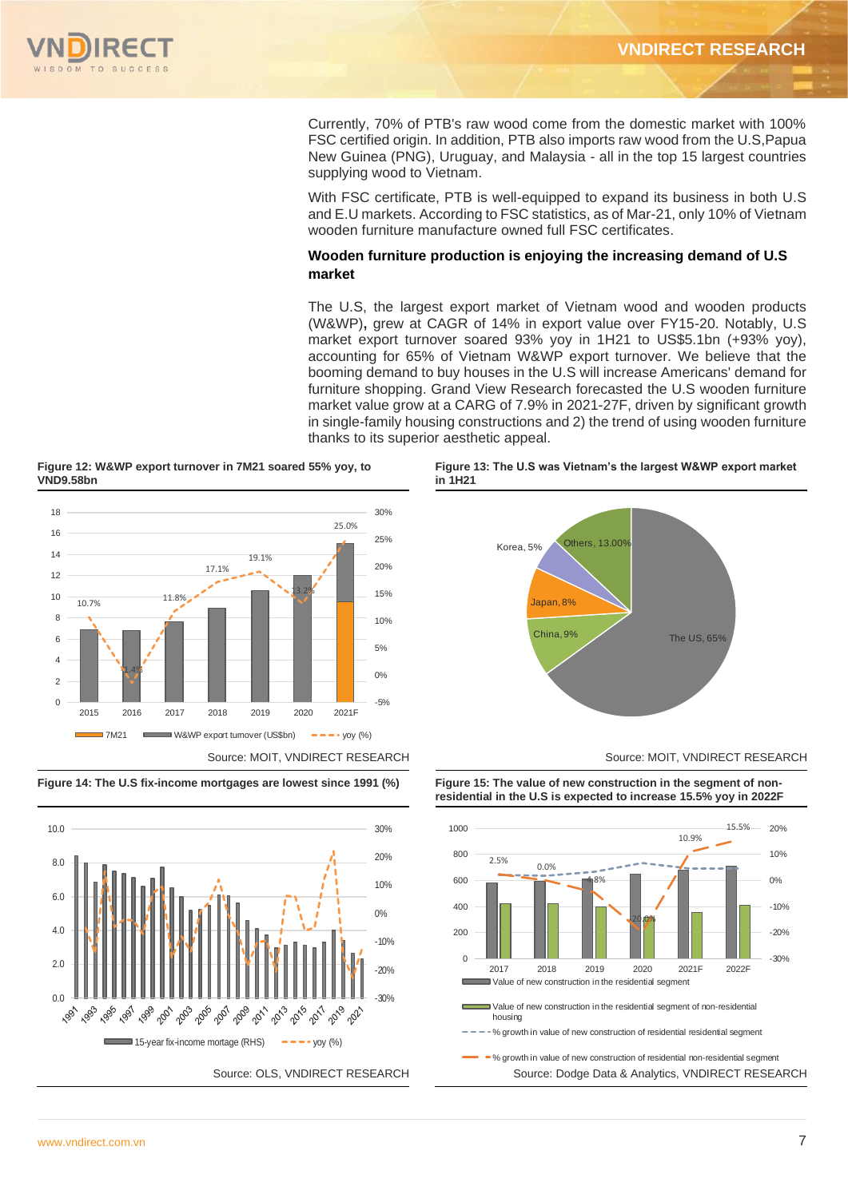

Currently, 70% of PTB's raw wood come from the domestic market with 100% FSC certified origin. In addition, PTB also imports raw wood from the U.S,Papua New Guinea (PNG), Uruguay, and Malaysia - all in the top 15 largest countries supplying wood to Vietnam.

With FSC certificate, PTB is well-equipped to expand its business in both U.S and E.U markets. According to FSC statistics, as of Mar-21, only 10% of Vietnam wooden furniture manufacture owned full FSC certificates.

# **Wooden furniture production is enjoying the increasing demand of U.S market**

The U.S, the largest export market of Vietnam wood and wooden products (W&WP)**,** grew at CAGR of 14% in export value over FY15-20. Notably, U.S market export turnover soared 93% yoy in 1H21 to US\$5.1bn (+93% yoy), accounting for 65% of Vietnam W&WP export turnover. We believe that the booming demand to buy houses in the U.S will increase Americans' demand for furniture shopping. Grand View Research forecasted the U.S wooden furniture market value grow at a CARG of 7.9% in 2021-27F, driven by significant growth in single-family housing constructions and 2) the trend of using wooden furniture thanks to its superior aesthetic appeal.

**Figure 12: W&WP export turnover in 7M21 soared 55% yoy, to VND9.58bn** 



**Figure 14: The U.S fix-income mortgages are lowest since 1991 (%) Figure 15: The value of new construction in the segment of non-**



**Figure 13: The U.S was Vietnam's the largest W&WP export market in 1H21** 







Value of new construction in the residential segment Value of new construction in the residential segment of non-residential housing % growth in value of new construction of residential residential segment

Source: OLS, VNDIRECT RESEARCH Source: Dodge Data & Analytics, VNDIRECT RESEARCH % growth in value of new construction of residential non-residential segment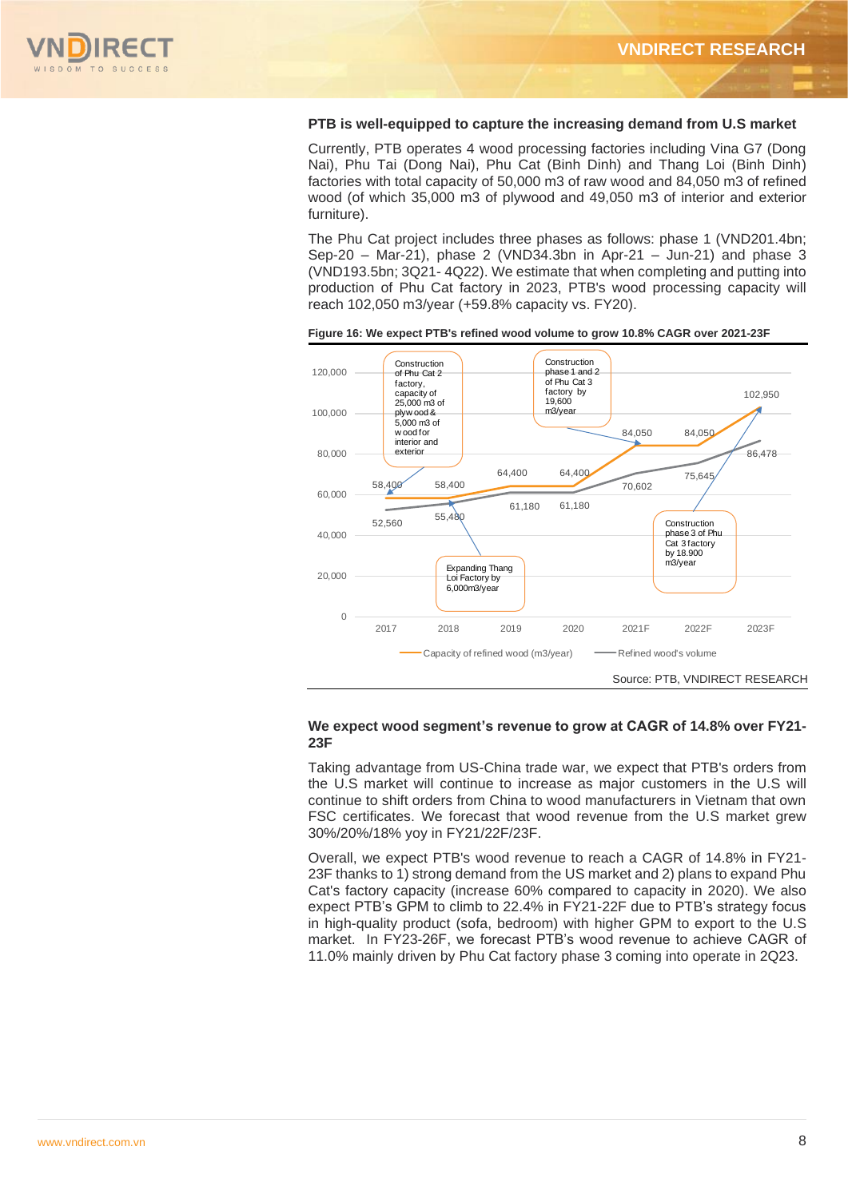

#### **PTB is well-equipped to capture the increasing demand from U.S market**

Currently, PTB operates 4 wood processing factories including Vina G7 (Dong Nai), Phu Tai (Dong Nai), Phu Cat (Binh Dinh) and Thang Loi (Binh Dinh) factories with total capacity of 50,000 m3 of raw wood and 84,050 m3 of refined wood (of which 35,000 m3 of plywood and 49,050 m3 of interior and exterior furniture).

The Phu Cat project includes three phases as follows: phase 1 (VND201.4bn; Sep-20 – Mar-21), phase 2 (VND34.3bn in Apr-21 – Jun-21) and phase 3 (VND193.5bn; 3Q21- 4Q22). We estimate that when completing and putting into production of Phu Cat factory in 2023, PTB's wood processing capacity will reach 102,050 m3/year (+59.8% capacity vs. FY20).



**Figure 16: We expect PTB's refined wood volume to grow 10.8% CAGR over 2021-23F**

#### **We expect wood segment's revenue to grow at CAGR of 14.8% over FY21- 23F**

Taking advantage from US-China trade war, we expect that PTB's orders from the U.S market will continue to increase as major customers in the U.S will continue to shift orders from China to wood manufacturers in Vietnam that own FSC certificates. We forecast that wood revenue from the U.S market grew 30%/20%/18% yoy in FY21/22F/23F.

Overall, we expect PTB's wood revenue to reach a CAGR of 14.8% in FY21- 23F thanks to 1) strong demand from the US market and 2) plans to expand Phu Cat's factory capacity (increase 60% compared to capacity in 2020). We also expect PTB's GPM to climb to 22.4% in FY21-22F due to PTB's strategy focus in high-quality product (sofa, bedroom) with higher GPM to export to the U.S market. In FY23-26F, we forecast PTB's wood revenue to achieve CAGR of 11.0% mainly driven by Phu Cat factory phase 3 coming into operate in 2Q23.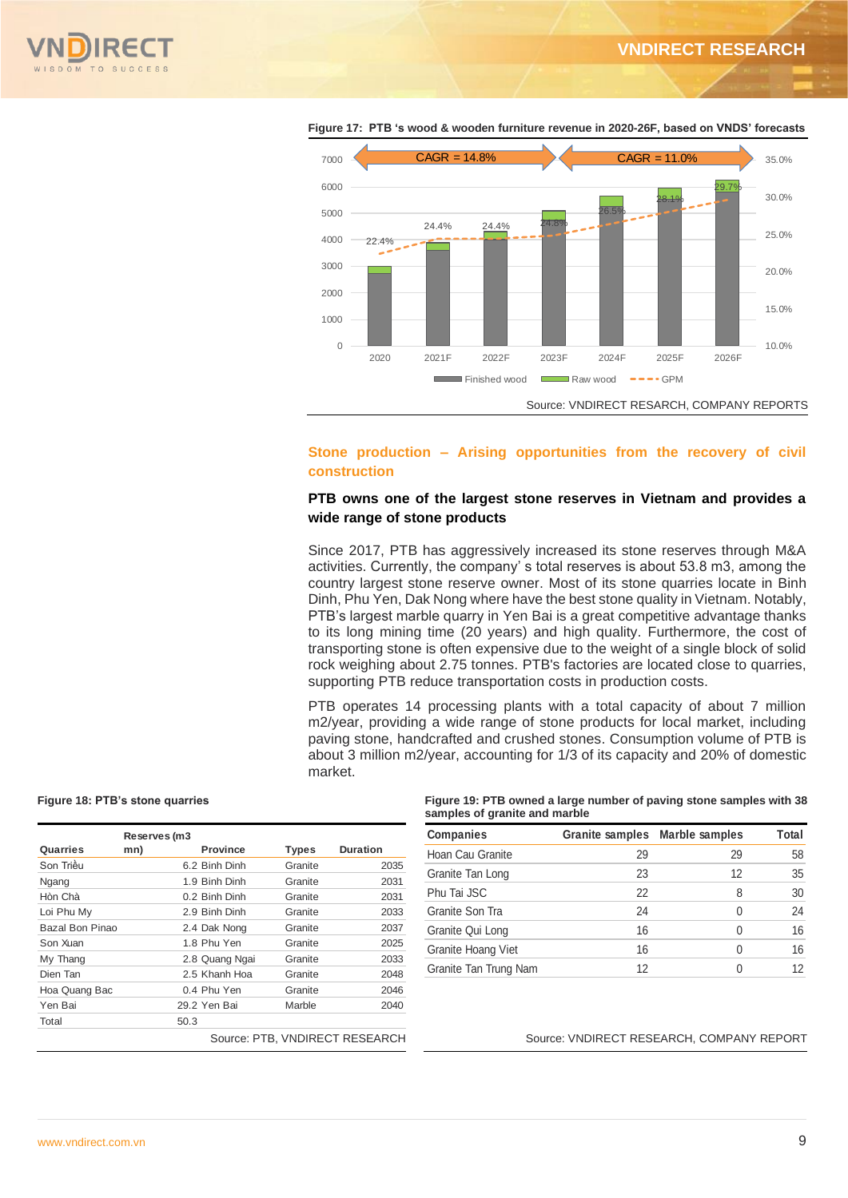



**Figure 17: PTB 's wood & wooden furniture revenue in 2020-26F, based on VNDS' forecasts**

# **Stone production – Arising opportunities from the recovery of civil construction**

### **PTB owns one of the largest stone reserves in Vietnam and provides a wide range of stone products**

Since 2017, PTB has aggressively increased its stone reserves through M&A activities. Currently, the company' s total reserves is about 53.8 m3, among the country largest stone reserve owner. Most of its stone quarries locate in Binh Dinh, Phu Yen, Dak Nong where have the best stone quality in Vietnam. Notably, PTB's largest marble quarry in Yen Bai is a great competitive advantage thanks to its long mining time (20 years) and high quality. Furthermore, the cost of transporting stone is often expensive due to the weight of a single block of solid rock weighing about 2.75 tonnes. PTB's factories are located close to quarries, supporting PTB reduce transportation costs in production costs.

PTB operates 14 processing plants with a total capacity of about 7 million m2/year, providing a wide range of stone products for local market, including paving stone, handcrafted and crushed stones. Consumption volume of PTB is about 3 million m2/year, accounting for 1/3 of its capacity and 20% of domestic market.

|                        | Reserves (m3 |                                |              |                 |
|------------------------|--------------|--------------------------------|--------------|-----------------|
| Quarries               | mn)          | <b>Province</b>                | <b>Types</b> | <b>Duration</b> |
| Son Triều              |              | 6.2 Binh Dinh                  | Granite      | 2035            |
| Ngang                  |              | 1.9 Binh Dinh                  | Granite      | 2031            |
| Hòn Chà                |              | 0.2 Binh Dinh                  | Granite      | 2031            |
| Loi Phu My             |              | 2.9 Binh Dinh                  | Granite      | 2033            |
| <b>Bazal Bon Pinao</b> |              | 2.4 Dak Nong                   | Granite      | 2037            |
| Son Xuan               |              | 1.8 Phu Yen                    | Granite      | 2025            |
| My Thang               |              | 2.8 Quang Ngai                 | Granite      | 2033            |
| Dien Tan               |              | 2.5 Khanh Hoa                  | Granite      | 2048            |
| Hoa Quang Bac          |              | 0.4 Phu Yen                    | Granite      | 2046            |
| Yen Bai                |              | 29.2 Yen Bai                   | Marble       | 2040            |
| Total                  | 50.3         |                                |              |                 |
|                        |              | Source: PTB, VNDIRECT RESEARCH |              |                 |

**Figure 18: PTB's stone quarries Figure 19: PTB owned a large number of paving stone samples with 38 samples of granite and marble**

|    |    | Total                          |
|----|----|--------------------------------|
| 29 | 29 | 58                             |
| 23 | 12 | 35                             |
| 22 | 8  | 30                             |
| 24 |    | 24                             |
| 16 |    | 16                             |
| 16 |    | 16                             |
| 12 |    | 12                             |
|    |    | Granite samples Marble samples |

Source: VNDIRECT RESEARCH, COMPANY REPORT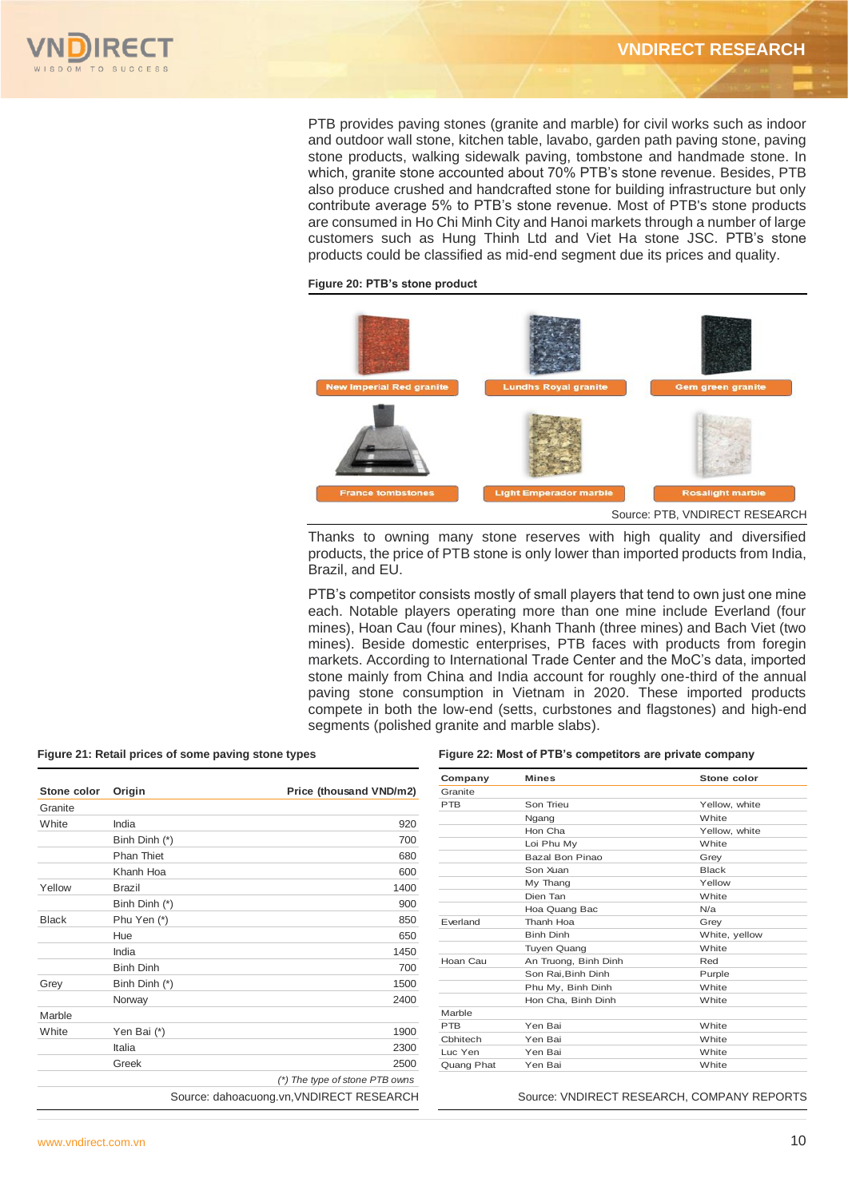

PTB provides paving stones (granite and marble) for civil works such as indoor and outdoor wall stone, kitchen table, lavabo, garden path paving stone, paving stone products, walking sidewalk paving, tombstone and handmade stone. In which, granite stone accounted about 70% PTB's stone revenue. Besides, PTB also produce crushed and handcrafted stone for building infrastructure but only contribute average 5% to PTB's stone revenue. Most of PTB's stone products are consumed in Ho Chi Minh City and Hanoi markets through a number of large customers such as Hung Thinh Ltd and Viet Ha stone JSC. PTB's stone products could be classified as mid-end segment due its prices and quality.

#### **Figure 20: PTB's stone product**



Thanks to owning many stone reserves with high quality and diversified products, the price of PTB stone is only lower than imported products from India, Brazil, and EU.

PTB's competitor consists mostly of small players that tend to own just one mine each. Notable players operating more than one mine include Everland (four mines), Hoan Cau (four mines), Khanh Thanh (three mines) and Bach Viet (two mines). Beside domestic enterprises, PTB faces with products from foregin markets. According to International Trade Center and the MoC's data, imported stone mainly from China and India account for roughly one-third of the annual paving stone consumption in Vietnam in 2020. These imported products compete in both the low-end (setts, curbstones and flagstones) and high-end segments (polished granite and marble slabs).

| Stone color  | Origin            | Price (thousand VND/m2)        |
|--------------|-------------------|--------------------------------|
| Granite      |                   |                                |
| White        | India             | 920                            |
|              | Binh Dinh (*)     | 700                            |
|              | <b>Phan Thiet</b> | 680                            |
|              | Khanh Hoa         | 600                            |
| Yellow       | <b>Brazil</b>     | 1400                           |
|              | Binh Dinh (*)     | 900                            |
| <b>Black</b> | Phu Yen (*)       | 850                            |
|              | Hue               | 650                            |
|              | India             | 1450                           |
|              | <b>Binh Dinh</b>  | 700                            |
| Grey         | Binh Dinh (*)     | 1500                           |
|              | Norway            | 2400                           |
| Marble       |                   |                                |
| White        | Yen Bai (*)       | 1900                           |
|              | Italia            | 2300                           |
|              | Greek             | 2500                           |
|              |                   | (*) The type of stone PTB owns |

#### Figure 21: Retail prices of some paving stone types Figure 22: Most of PTB's competitors are private company

| Company    | <b>Mines</b>         | Stone color   |
|------------|----------------------|---------------|
| Granite    |                      |               |
| <b>PTB</b> | Son Trieu            | Yellow, white |
|            | Ngang                | White         |
|            | Hon Cha              | Yellow, white |
|            | Loi Phu My           | White         |
|            | Bazal Bon Pinao      | Grey          |
|            | Son Xuan             | <b>Black</b>  |
|            | My Thang             | Yellow        |
|            | Dien Tan             | White         |
|            | Hoa Quang Bac        | N/a           |
| Everland   | Thanh Hoa            | Grey          |
|            | <b>Binh Dinh</b>     | White, yellow |
|            | <b>Tuyen Quang</b>   | White         |
| Hoan Cau   | An Truong, Binh Dinh | Red           |
|            | Son Rai.Binh Dinh    | Purple        |
|            | Phu My, Binh Dinh    | White         |
|            | Hon Cha, Binh Dinh   | White         |
| Marble     |                      |               |
| <b>PTB</b> | Yen Bai              | White         |
| Chhitech   | Yen Bai              | White         |
| Luc Yen    | Yen Bai              | White         |
| Quang Phat | Yen Bai              | White         |

Source: dahoacuong.vn, VNDIRECT RESEARCH Source: VNDIRECT RESEARCH, COMPANY REPORTS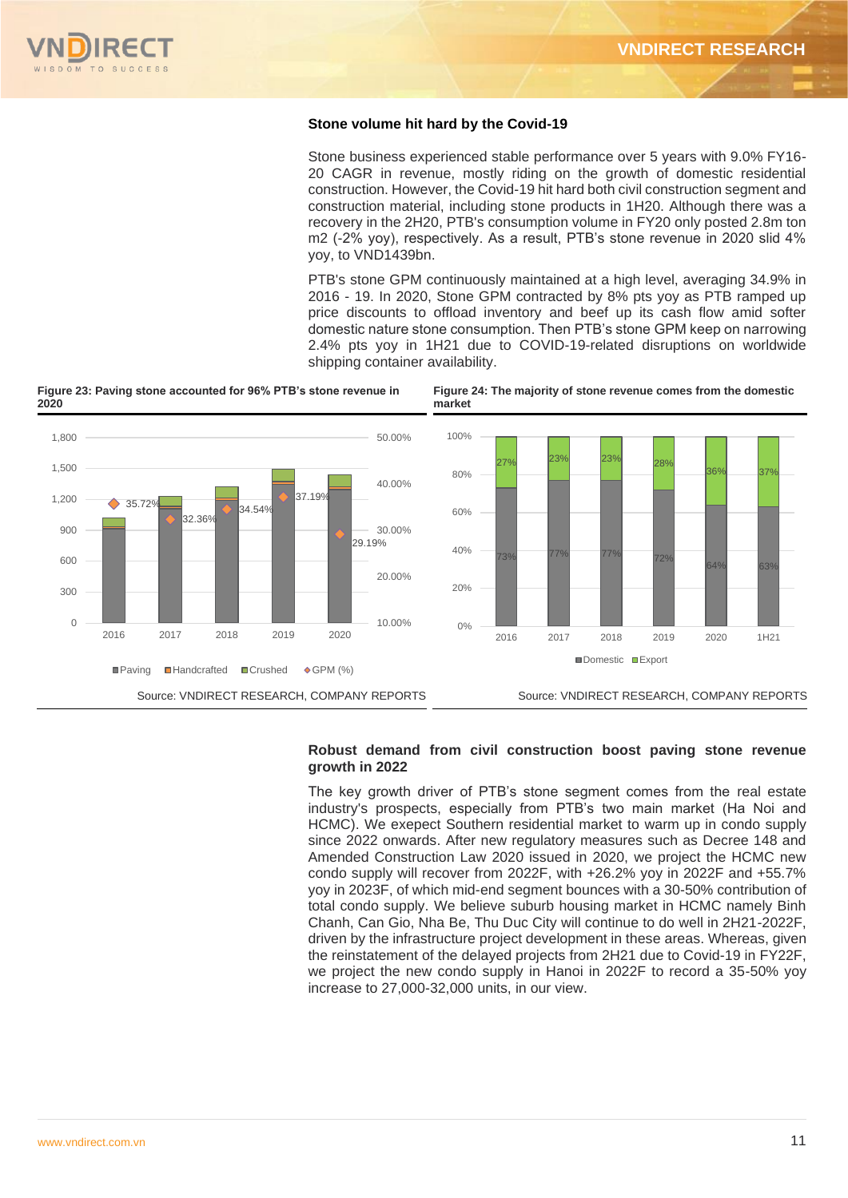

#### **Stone volume hit hard by the Covid-19**

Stone business experienced stable performance over 5 years with 9.0% FY16- 20 CAGR in revenue, mostly riding on the growth of domestic residential construction. However, the Covid-19 hit hard both civil construction segment and construction material, including stone products in 1H20. Although there was a recovery in the 2H20, PTB's consumption volume in FY20 only posted 2.8m ton m2 (-2% yoy), respectively. As a result, PTB's stone revenue in 2020 slid 4% yoy, to VND1439bn.

PTB's stone GPM continuously maintained at a high level, averaging 34.9% in 2016 - 19. In 2020, Stone GPM contracted by 8% pts yoy as PTB ramped up price discounts to offload inventory and beef up its cash flow amid softer domestic nature stone consumption. Then PTB's stone GPM keep on narrowing 2.4% pts yoy in 1H21 due to COVID-19-related disruptions on worldwide shipping container availability.

**Figure 24: The majority of stone revenue comes from the domestic** 

**Figure 23: Paving stone accounted for 96% PTB's stone revenue in 2020**



#### **Robust demand from civil construction boost paving stone revenue growth in 2022**

The key growth driver of PTB's stone segment comes from the real estate industry's prospects, especially from PTB's two main market (Ha Noi and HCMC). We exepect Southern residential market to warm up in condo supply since 2022 onwards. After new regulatory measures such as Decree 148 and Amended Construction Law 2020 issued in 2020, we project the HCMC new condo supply will recover from 2022F, with +26.2% yoy in 2022F and +55.7% yoy in 2023F, of which mid-end segment bounces with a 30-50% contribution of total condo supply. We believe suburb housing market in HCMC namely Binh Chanh, Can Gio, Nha Be, Thu Duc City will continue to do well in 2H21-2022F, driven by the infrastructure project development in these areas. Whereas, given the reinstatement of the delayed projects from 2H21 due to Covid-19 in FY22F, we project the new condo supply in Hanoi in 2022F to record a 35-50% yoy increase to 27,000-32,000 units, in our view.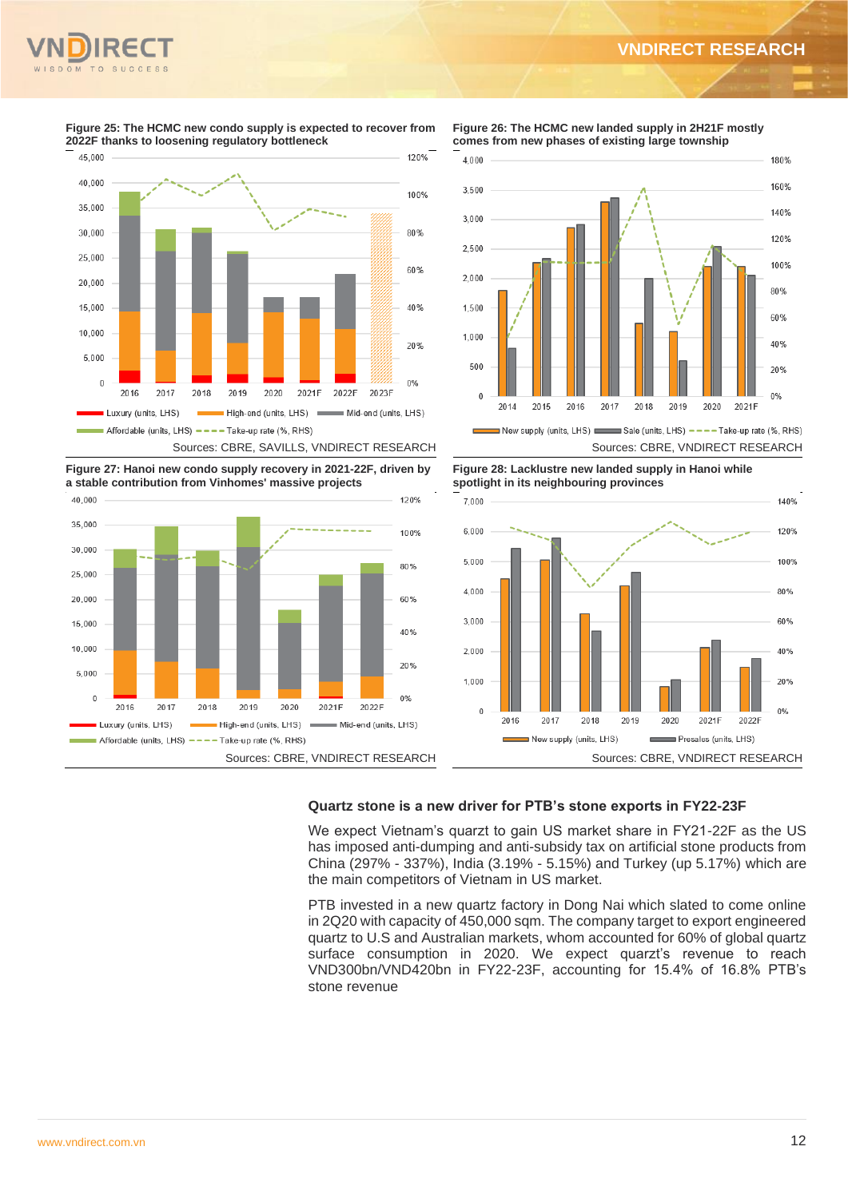

**Figure 25: The HCMC new condo supply is expected to recover from 2022F thanks to loosening regulatory bottleneck**

120%

45 000

**Figure 26: The HCMC new landed supply in 2H21F mostly comes from new phases of existing large township**



**Figure 27: Hanoi new condo supply recovery in 2021-22F, driven by a stable contribution from Vinhomes' massive projects**



**Figure 28: Lacklustre new landed supply in Hanoi while spotlight in its neighbouring provinces**



# **Quartz stone is a new driver for PTB's stone exports in FY22-23F**

We expect Vietnam's quarzt to gain US market share in FY21-22F as the US has imposed anti-dumping and anti-subsidy tax on artificial stone products from China (297% - 337%), India (3.19% - 5.15%) and Turkey (up 5.17%) which are the main competitors of Vietnam in US market.

PTB invested in a new quartz factory in Dong Nai which slated to come online in 2Q20 with capacity of 450,000 sqm. The company target to export engineered quartz to U.S and Australian markets, whom accounted for 60% of global quartz surface consumption in 2020. We expect quarzt's revenue to reach VND300bn/VND420bn in FY22-23F, accounting for 15.4% of 16.8% PTB's stone revenue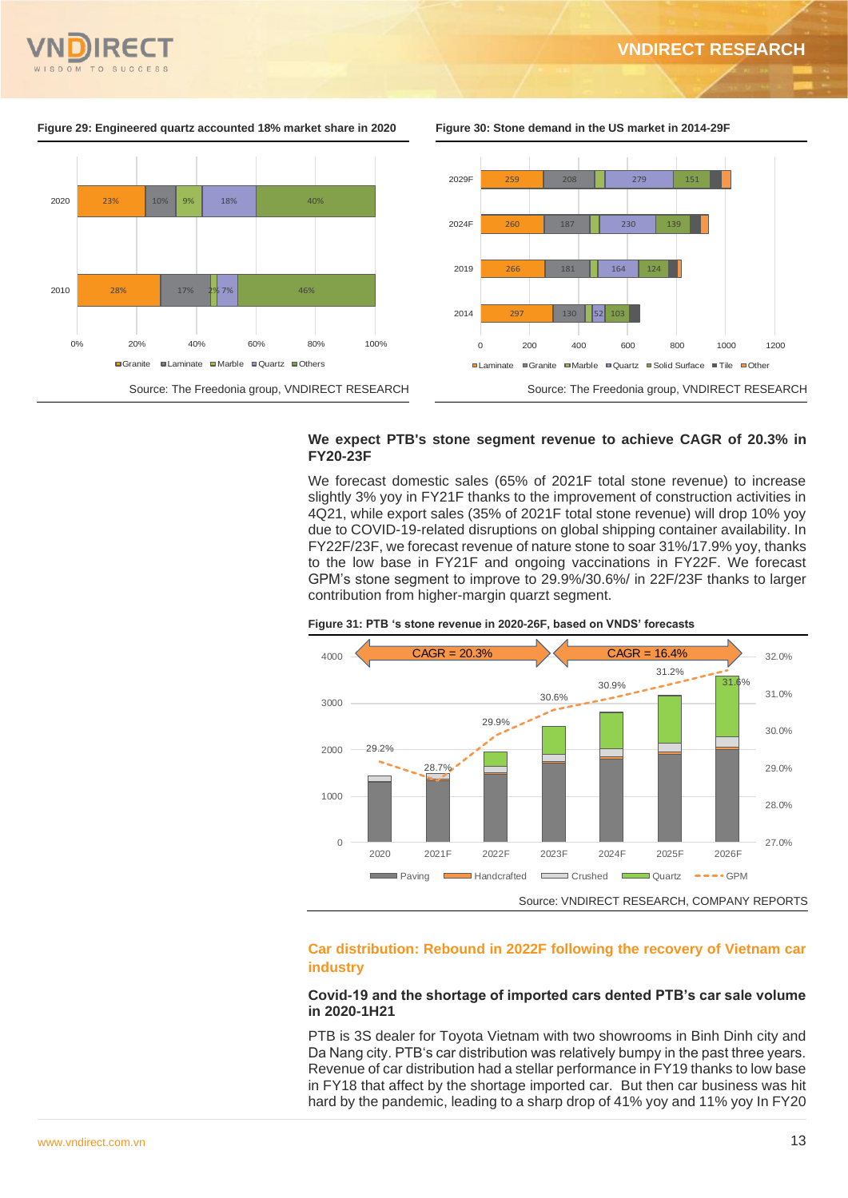

#### **Figure 29: Engineered quartz accounted 18% market share in 2020 Figure 30: Stone demand in the US market in 2014-29F**



#### **We expect PTB's stone segment revenue to achieve CAGR of 20.3% in FY20-23F**

We forecast domestic sales (65% of 2021F total stone revenue) to increase slightly 3% yoy in FY21F thanks to the improvement of construction activities in 4Q21, while export sales (35% of 2021F total stone revenue) will drop 10% yoy due to COVID-19-related disruptions on global shipping container availability. In FY22F/23F, we forecast revenue of nature stone to soar 31%/17.9% yoy, thanks to the low base in FY21F and ongoing vaccinations in FY22F. We forecast GPM's stone segment to improve to 29.9%/30.6%/ in 22F/23F thanks to larger contribution from higher-margin quarzt segment.





# **Car distribution: Rebound in 2022F following the recovery of Vietnam car industry**

#### **Covid-19 and the shortage of imported cars dented PTB's car sale volume in 2020-1H21**

PTB is 3S dealer for Toyota Vietnam with two showrooms in Binh Dinh city and Da Nang city. PTB's car distribution was relatively bumpy in the past three years. Revenue of car distribution had a stellar performance in FY19 thanks to low base in FY18 that affect by the shortage imported car. But then car business was hit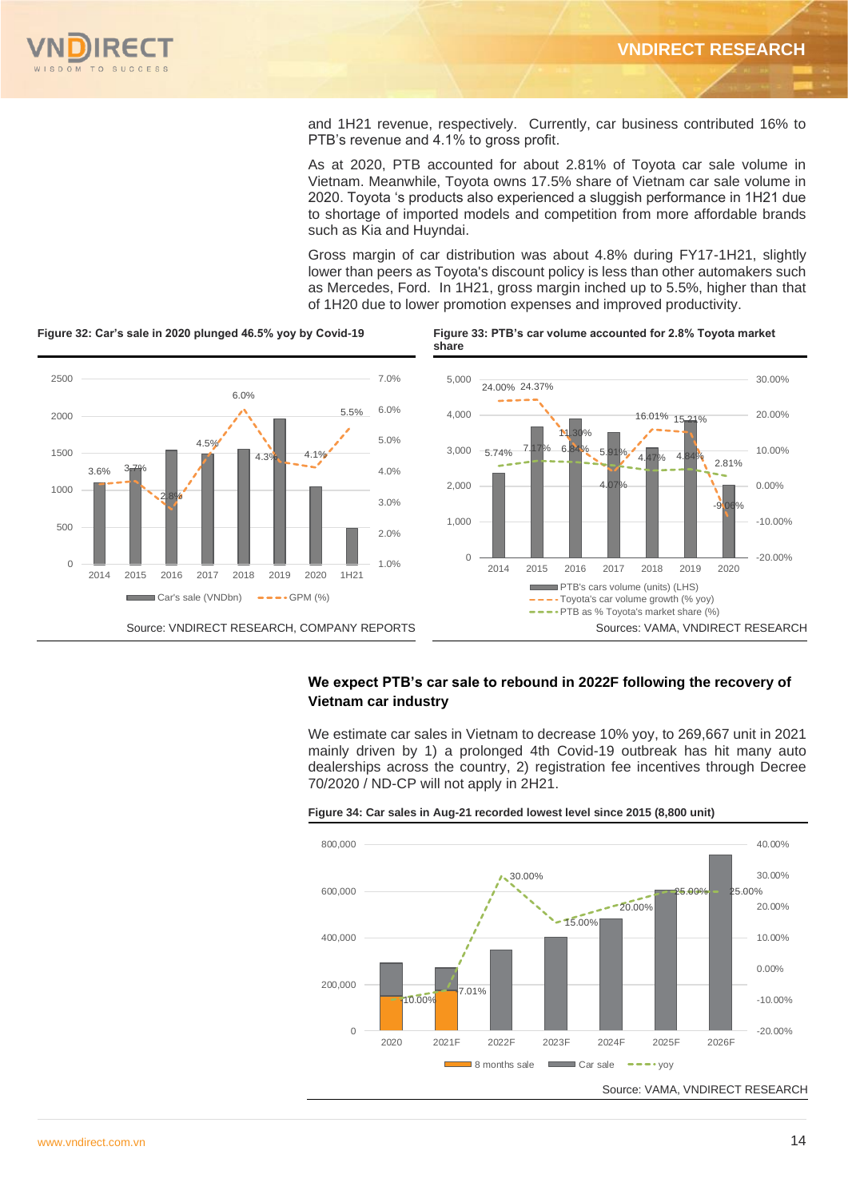

and 1H21 revenue, respectively. Currently, car business contributed 16% to PTB's revenue and 4.1% to gross profit.

As at 2020, PTB accounted for about 2.81% of Toyota car sale volume in Vietnam. Meanwhile, Toyota owns 17.5% share of Vietnam car sale volume in 2020. Toyota 's products also experienced a sluggish performance in 1H21 due to shortage of imported models and competition from more affordable brands such as Kia and Huyndai.

Gross margin of car distribution was about 4.8% during FY17-1H21, slightly lower than peers as Toyota's discount policy is less than other automakers such as Mercedes, Ford. In 1H21, gross margin inched up to 5.5%, higher than that of 1H20 due to lower promotion expenses and improved productivity.



# **We expect PTB's car sale to rebound in 2022F following the recovery of Vietnam car industry**

We estimate car sales in Vietnam to decrease 10% yoy, to 269,667 unit in 2021 mainly driven by 1) a prolonged 4th Covid-19 outbreak has hit many auto dealerships across the country, 2) registration fee incentives through Decree 70/2020 / ND-CP will not apply in 2H21.



**Figure 34: Car sales in Aug-21 recorded lowest level since 2015 (8,800 unit)**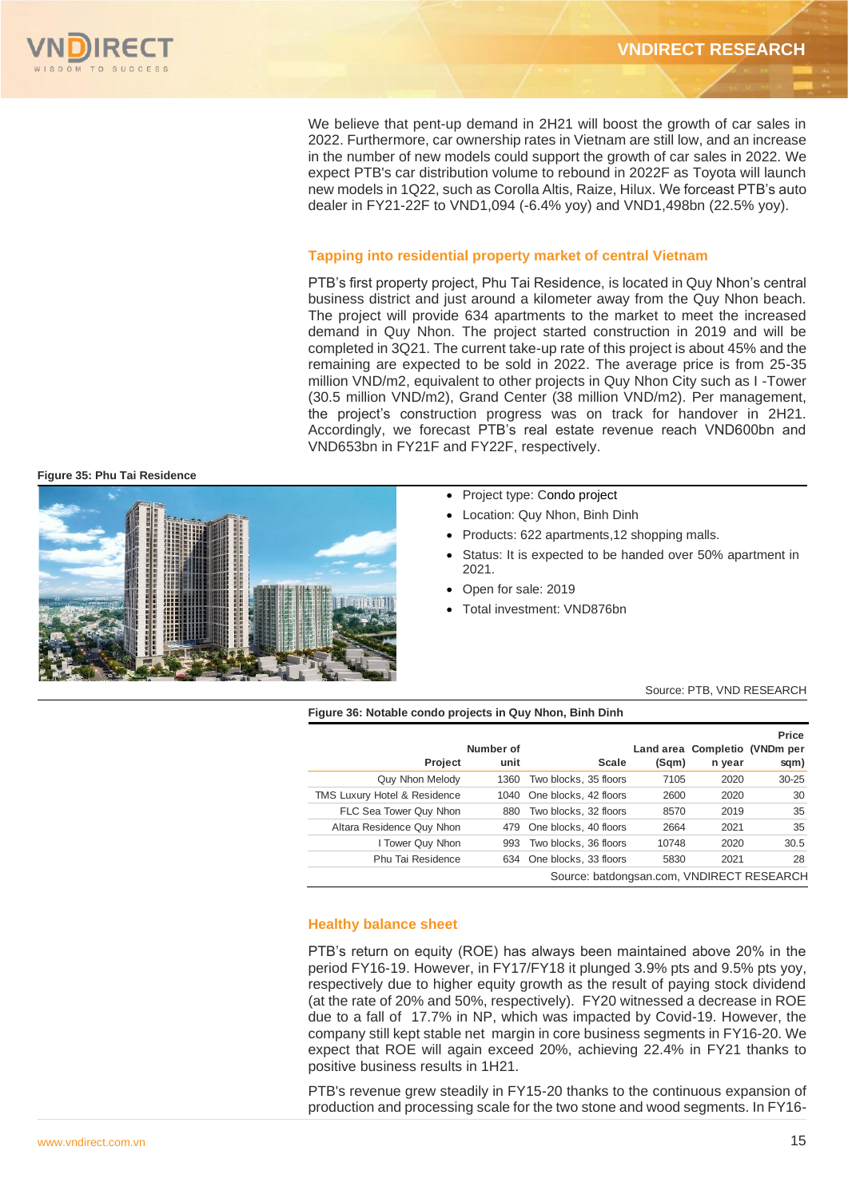We believe that pent-up demand in 2H21 will boost the growth of car sales in 2022. Furthermore, car ownership rates in Vietnam are still low, and an increase in the number of new models could support the growth of car sales in 2022. We expect PTB's car distribution volume to rebound in 2022F as Toyota will launch new models in 1Q22, such as Corolla Altis, Raize, Hilux. We forceast PTB's auto dealer in FY21-22F to VND1,094 (-6.4% yoy) and VND1,498bn (22.5% yoy).

### **Tapping into residential property market of central Vietnam**

PTB's first property project, Phu Tai Residence, is located in Quy Nhon's central business district and just around a kilometer away from the Quy Nhon beach. The project will provide 634 apartments to the market to meet the increased demand in Quy Nhon. The project started construction in 2019 and will be completed in 3Q21. The current take-up rate of this project is about 45% and the remaining are expected to be sold in 2022. The average price is from 25-35 million VND/m2, equivalent to other projects in Quy Nhon City such as I -Tower (30.5 million VND/m2), Grand Center (38 million VND/m2). Per management, the project's construction progress was on track for handover in 2H21. Accordingly, we forecast PTB's real estate revenue reach VND600bn and VND653bn in FY21F and FY22F, respectively.

**Figure 35: Phu Tai Residence**



- Project type: Condo project
- Location: Quy Nhon, Binh Dinh
- Products: 622 apartments,12 shopping malls.
- Status: It is expected to be handed over 50% apartment in 2021.
- Open for sale: 2019
- Total investment: VND876bn

Source: PTB, VND RESEARCH

#### **Figure 36: Notable condo projects in Quy Nhon, Binh Dinh**

|                                           |           |                           |       |        | Price                         |  |  |  |
|-------------------------------------------|-----------|---------------------------|-------|--------|-------------------------------|--|--|--|
|                                           | Number of |                           |       |        | Land area Completio (VNDm per |  |  |  |
| Project                                   | unit      | Scale                     | (Sqm) | n year | sqm)                          |  |  |  |
| Quy Nhon Melody                           | 1360      | Two blocks, 35 floors     | 7105  | 2020   | $30 - 25$                     |  |  |  |
| <b>TMS Luxury Hotel &amp; Residence</b>   | 1040      | One blocks, 42 floors     | 2600  | 2020   | 30                            |  |  |  |
| FLC Sea Tower Quy Nhon                    | 880       | Two blocks, 32 floors     | 8570  | 2019   | 35                            |  |  |  |
| Altara Residence Quy Nhon                 | 479       | One blocks, 40 floors     | 2664  | 2021   | 35                            |  |  |  |
| I Tower Quy Nhon                          | 993       | Two blocks, 36 floors     | 10748 | 2020   | 30.5                          |  |  |  |
| Phu Tai Residence                         |           | 634 One blocks, 33 floors | 5830  | 2021   | 28                            |  |  |  |
| Source: batdongsan.com, VNDIRECT RESEARCH |           |                           |       |        |                               |  |  |  |

#### **Healthy balance sheet**

PTB's return on equity (ROE) has always been maintained above 20% in the period FY16-19. However, in FY17/FY18 it plunged 3.9% pts and 9.5% pts yoy, respectively due to higher equity growth as the result of paying stock dividend (at the rate of 20% and 50%, respectively). FY20 witnessed a decrease in ROE due to a fall of 17.7% in NP, which was impacted by Covid-19. However, the company still kept stable net margin in core business segments in FY16-20. We expect that ROE will again exceed 20%, achieving 22.4% in FY21 thanks to positive business results in 1H21.

PTB's revenue grew steadily in FY15-20 thanks to the continuous expansion of production and processing scale for the two stone and wood segments. In FY16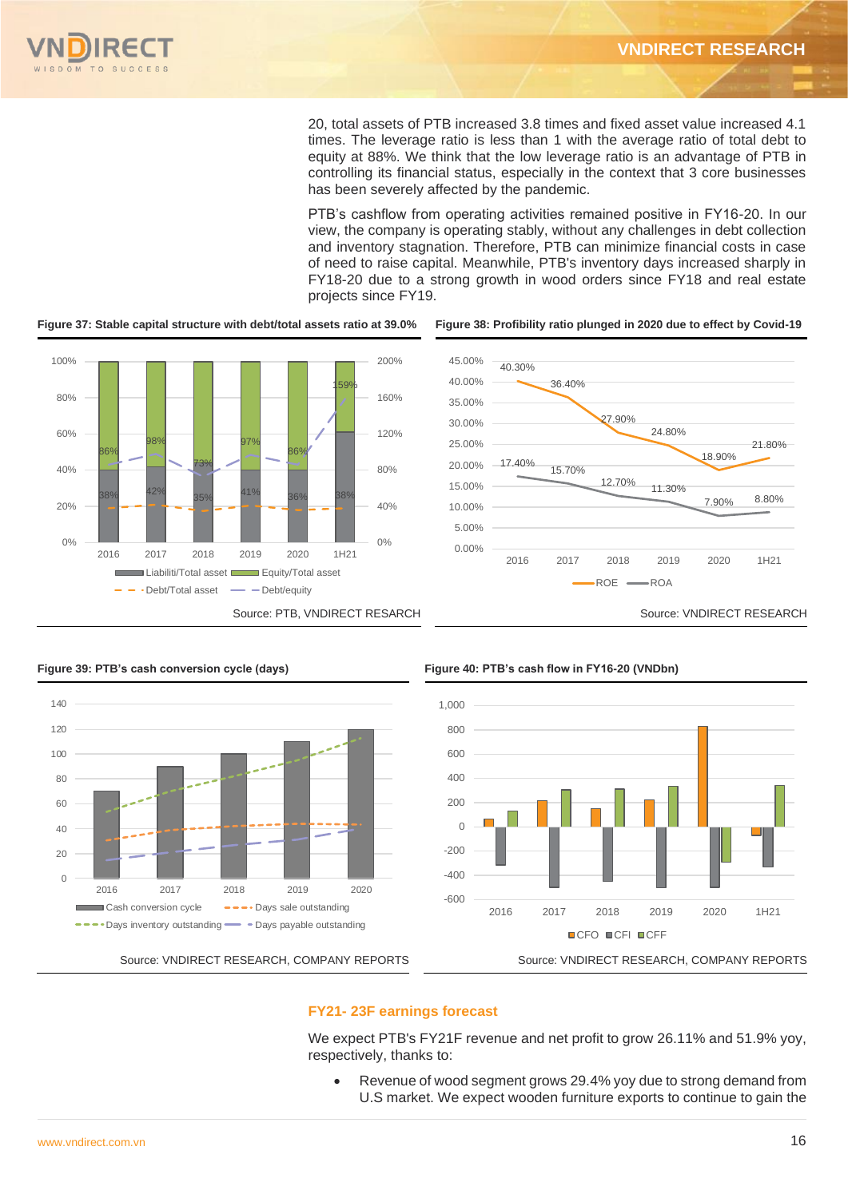20, total assets of PTB increased 3.8 times and fixed asset value increased 4.1 times. The leverage ratio is less than 1 with the average ratio of total debt to equity at 88%. We think that the low leverage ratio is an advantage of PTB in controlling its financial status, especially in the context that 3 core businesses has been severely affected by the pandemic.

PTB's cashflow from operating activities remained positive in FY16-20. In our view, the company is operating stably, without any challenges in debt collection and inventory stagnation. Therefore, PTB can minimize financial costs in case of need to raise capital. Meanwhile, PTB's inventory days increased sharply in FY18-20 due to a strong growth in wood orders since FY18 and real estate projects since FY19.



**Figure 37: Stable capital structure with debt/total assets ratio at 39.0% Figure 38: Profibility ratio plunged in 2020 due to effect by Covid-19** 







**Figure 39: PTB's cash conversion cycle (days) Figure 40: PTB's cash flow in FY16-20 (VNDbn)**



### **FY21- 23F earnings forecast**

We expect PTB's FY21F revenue and net profit to grow 26.11% and 51.9% yov. respectively, thanks to:

• Revenue of wood segment grows 29.4% yoy due to strong demand from U.S market. We expect wooden furniture exports to continue to gain the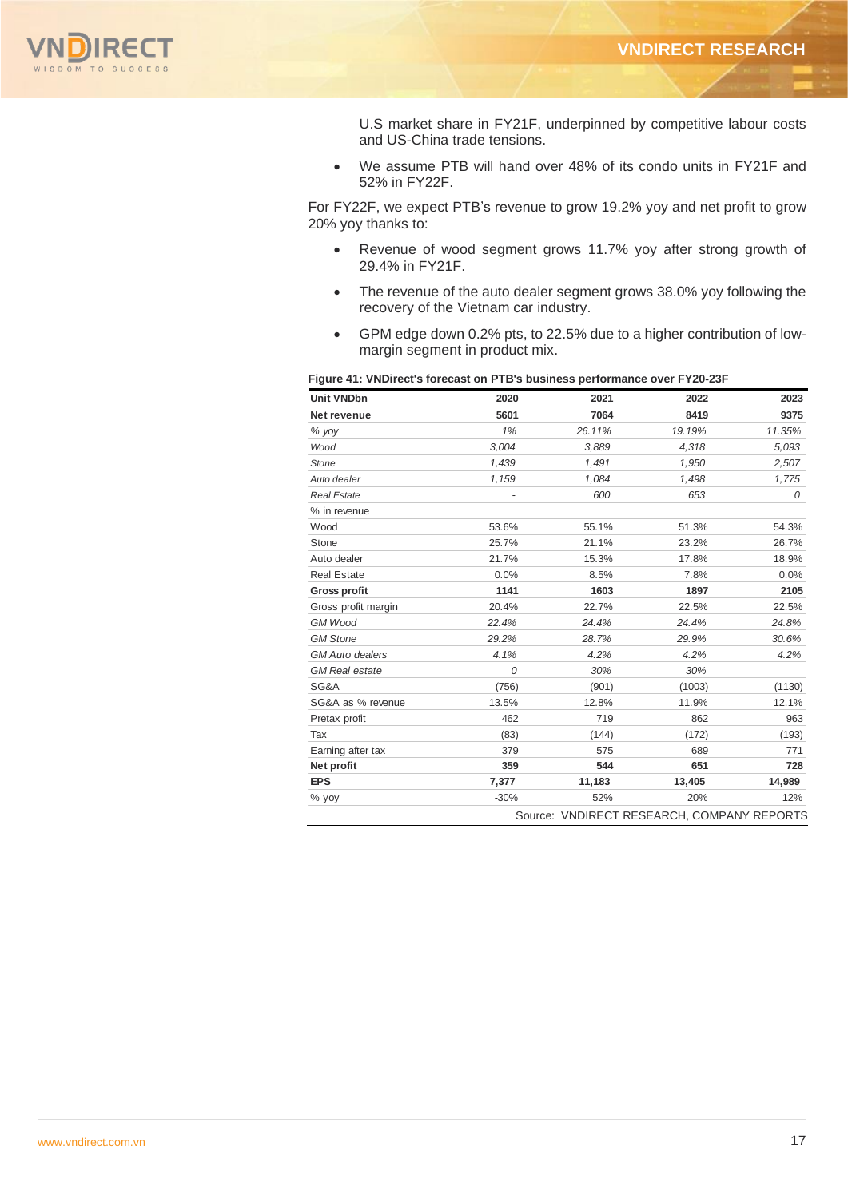

U.S market share in FY21F, underpinned by competitive labour costs and US-China trade tensions.

• We assume PTB will hand over 48% of its condo units in FY21F and 52% in FY22F.

For FY22F, we expect PTB's revenue to grow 19.2% yoy and net profit to grow 20% yoy thanks to:

- Revenue of wood segment grows 11.7% yoy after strong growth of 29.4% in FY21F.
- The revenue of the auto dealer segment grows 38.0% yoy following the recovery of the Vietnam car industry.
- GPM edge down 0.2% pts, to 22.5% due to a higher contribution of lowmargin segment in product mix.

#### **Figure 41: VNDirect's forecast on PTB's business performance over FY20-23F**

| <b>Unit VNDbn</b>      | 2020                     | 2021   | 2022                                       | 2023   |
|------------------------|--------------------------|--------|--------------------------------------------|--------|
| Net revenue            | 5601                     | 7064   | 8419                                       | 9375   |
| % yoy                  | 1%                       | 26.11% | 19.19%                                     | 11.35% |
| Wood                   | 3.004                    | 3,889  | 4,318                                      | 5,093  |
| Stone                  | 1,439                    | 1,491  | 1,950                                      | 2,507  |
| Auto dealer            | 1,159                    | 1,084  | 1,498                                      | 1,775  |
| <b>Real Estate</b>     | $\overline{\phantom{a}}$ | 600    | 653                                        | 0      |
| % in revenue           |                          |        |                                            |        |
| Wood                   | 53.6%                    | 55.1%  | 51.3%                                      | 54.3%  |
| Stone                  | 25.7%                    | 21.1%  | 23.2%                                      | 26.7%  |
| Auto dealer            | 21.7%                    | 15.3%  | 17.8%                                      | 18.9%  |
| <b>Real Estate</b>     | 0.0%                     | 8.5%   | 7.8%                                       | 0.0%   |
| <b>Gross profit</b>    | 1141                     | 1603   | 1897                                       | 2105   |
| Gross profit margin    | 20.4%                    | 22.7%  | 22.5%                                      | 22.5%  |
| <b>GM Wood</b>         | 22.4%                    | 24.4%  | 24.4%                                      | 24.8%  |
| <b>GM Stone</b>        | 29.2%                    | 28.7%  | 29.9%                                      | 30.6%  |
| <b>GM</b> Auto dealers | 4.1%                     | 4.2%   | 4.2%                                       | 4.2%   |
| <b>GM</b> Real estate  | 0                        | 30%    | 30%                                        |        |
| SG&A                   | (756)                    | (901)  | (1003)                                     | (1130) |
| SG&A as % revenue      | 13.5%                    | 12.8%  | 11.9%                                      | 12.1%  |
| Pretax profit          | 462                      | 719    | 862                                        | 963    |
| Tax                    | (83)                     | (144)  | (172)                                      | (193)  |
| Earning after tax      | 379                      | 575    | 689                                        | 771    |
| Net profit             | 359                      | 544    | 651                                        | 728    |
| <b>EPS</b>             | 7,377                    | 11,183 | 13,405                                     | 14,989 |
| % yoy                  | $-30%$                   | 52%    | 20%                                        | 12%    |
|                        |                          |        | Source: VNDIRECT RESEARCH, COMPANY REPORTS |        |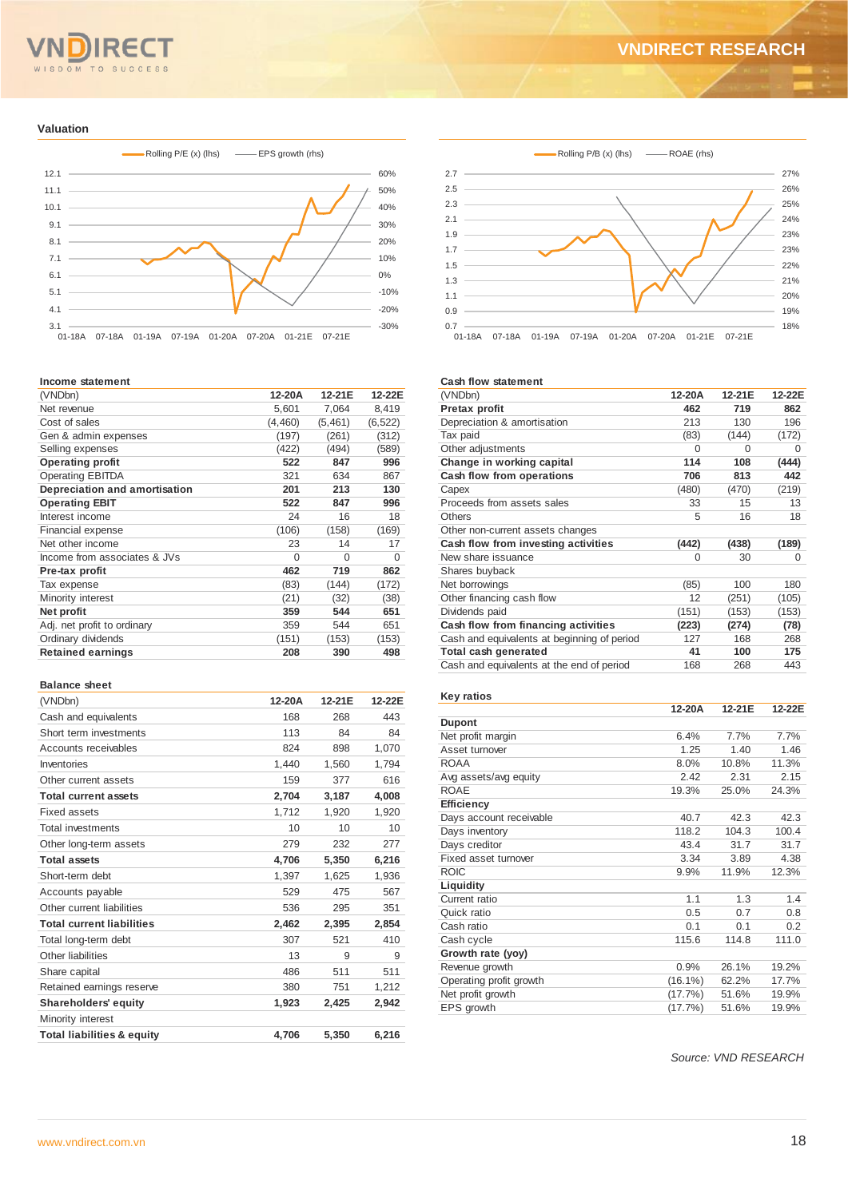#### **RE** IT. WISDOM TO SUCCESS

#### **Valuation**



#### **Income statement**

| (VNDbn)                       | 12-20A   | 12-21E  | 12-22E   |
|-------------------------------|----------|---------|----------|
| Net revenue                   | 5,601    | 7,064   | 8,419    |
| Cost of sales                 | (4, 460) | (5,461) | (6, 522) |
| Gen & admin expenses          | (197)    | (261)   | (312)    |
| Selling expenses              | (422)    | (494)   | (589)    |
| <b>Operating profit</b>       | 522      | 847     | 996      |
| <b>Operating EBITDA</b>       | 321      | 634     | 867      |
| Depreciation and amortisation | 201      | 213     | 130      |
| <b>Operating EBIT</b>         | 522      | 847     | 996      |
| Interest income               | 24       | 16      | 18       |
| <b>Financial expense</b>      | (106)    | (158)   | (169)    |
| Net other income              | 23       | 14      | 17       |
| Income from associates & JVs  | $\Omega$ | 0       | $\Omega$ |
| Pre-tax profit                | 462      | 719     | 862      |
| Tax expense                   | (83)     | (144)   | (172)    |
| Minority interest             | (21)     | (32)    | (38)     |
| Net profit                    | 359      | 544     | 651      |
| Adj. net profit to ordinary   | 359      | 544     | 651      |
| Ordinary dividends            | (151)    | (153)   | (153)    |
| <b>Retained earnings</b>      | 208      | 390     | 498      |
|                               |          |         |          |

#### **Balance sheet**

| (VNDbn)                               | 12-20A | 12-21E | 12-22E |
|---------------------------------------|--------|--------|--------|
| Cash and equivalents                  | 168    | 268    | 443    |
| Short term investments                | 113    | 84     | 84     |
| Accounts receivables                  | 824    | 898    | 1,070  |
| Inventories                           | 1,440  | 1,560  | 1,794  |
| Other current assets                  | 159    | 377    | 616    |
| <b>Total current assets</b>           | 2,704  | 3,187  | 4,008  |
| Fixed assets                          | 1,712  | 1,920  | 1,920  |
| <b>Total investments</b>              | 10     | 10     | 10     |
| Other long-term assets                | 279    | 232    | 277    |
| <b>Total assets</b>                   | 4,706  | 5,350  | 6,216  |
| Short-term debt                       | 1,397  | 1,625  | 1,936  |
| Accounts payable                      | 529    | 475    | 567    |
| Other current liabilities             | 536    | 295    | 351    |
| <b>Total current liabilities</b>      | 2,462  | 2,395  | 2.854  |
| Total long-term debt                  | 307    | 521    | 410    |
| Other liabilities                     | 13     | 9      | 9      |
| Share capital                         | 486    | 511    | 511    |
| Retained earnings reserve             | 380    | 751    | 1,212  |
| <b>Shareholders' equity</b>           | 1,923  | 2,425  | 2,942  |
| Minority interest                     |        |        |        |
| <b>Total liabilities &amp; equity</b> | 4.706  | 5.350  | 6.216  |



#### **Cash flow statement**

| (VNDbn)                                     | 12-20A   | 12-21E   | 12-22E |
|---------------------------------------------|----------|----------|--------|
| Pretax profit                               | 462      | 719      | 862    |
| Depreciation & amortisation                 | 213      | 130      | 196    |
| Tax paid                                    | (83)     | (144)    | (172)  |
| Other adjustments                           | $\Omega$ | $\Omega$ | 0      |
| Change in working capital                   | 114      | 108      | (444)  |
| Cash flow from operations                   | 706      | 813      | 442    |
| Capex                                       | (480)    | (470)    | (219)  |
| Proceeds from assets sales                  | 33       | 15       | 13     |
| Others                                      | 5        | 16       | 18     |
| Other non-current assets changes            |          |          |        |
| Cash flow from investing activities         | (442)    | (438)    | (189)  |
| New share issuance                          | 0        | 30       | 0      |
| Shares buyback                              |          |          |        |
| Net borrowings                              | (85)     | 100      | 180    |
| Other financing cash flow                   | 12       | (251)    | (105)  |
| Dividends paid                              | (151)    | (153)    | (153)  |
| Cash flow from financing activities         | (223)    | (274)    | (78)   |
| Cash and equivalents at beginning of period | 127      | 168      | 268    |
| Total cash generated                        | 41       | 100      | 175    |
| Cash and equivalents at the end of period   | 168      | 268      | 443    |

#### **Key ratios**

|                         | 12-20A     | 12-21E | 12-22E |
|-------------------------|------------|--------|--------|
| <b>Dupont</b>           |            |        |        |
| Net profit margin       | 6.4%       | 7.7%   | 7.7%   |
| Asset turnover          | 1.25       | 1.40   | 1.46   |
| <b>ROAA</b>             | 8.0%       | 10.8%  | 11.3%  |
| Avg assets/avg equity   | 2.42       | 2.31   | 2.15   |
| <b>ROAE</b>             | 19.3%      | 25.0%  | 24.3%  |
| Efficiency              |            |        |        |
| Days account receivable | 40.7       | 42.3   | 42.3   |
| Days inventory          | 118.2      | 104.3  | 100.4  |
| Days creditor           | 43.4       | 31.7   | 31.7   |
| Fixed asset turnover    | 3.34       | 3.89   | 4.38   |
| <b>ROIC</b>             | 9.9%       | 11.9%  | 12.3%  |
| Liquidity               |            |        |        |
| Current ratio           | 1.1        | 1.3    | 1.4    |
| Quick ratio             | 0.5        | 0.7    | 0.8    |
| Cash ratio              | 0.1        | 0.1    | 0.2    |
| Cash cycle              | 115.6      | 114.8  | 111.0  |
| Growth rate (yoy)       |            |        |        |
| Revenue growth          | 0.9%       | 26.1%  | 19.2%  |
| Operating profit growth | $(16.1\%)$ | 62.2%  | 17.7%  |
| Net profit growth       | (17.7%)    | 51.6%  | 19.9%  |
| EPS growth              | (17.7%)    | 51.6%  | 19.9%  |

*Source: VND RESEARCH*